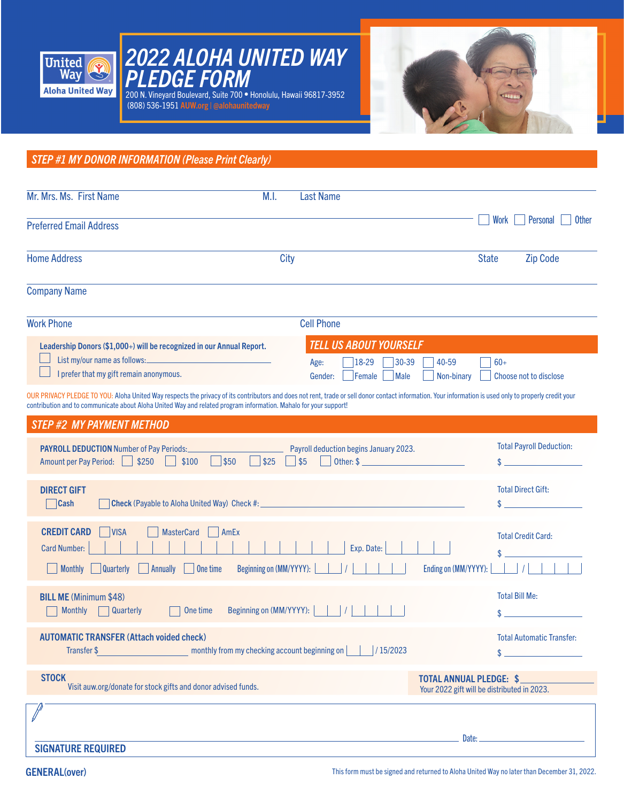





*STEP #1 MY DONOR INFORMATION (Please Print Clearly)* OUR PRIVACY PLEDGE TO YOU: Aloha United Way respects the privacy of its contributors and does not rent, trade or sell donor contact information. Your information is used only to properly credit your contribution and to communicate about Aloha United Way and related program information. Mahalo for your support! Mr. Mrs. Ms. First Name M.I. Last Name Preferred Email Address Home Address and the City City of the City of the State Cip Code Company Name Work Phone Cell Phone DIRECT GIFT Cash Check (Payable to Aloha United Way) Check #: AUTOMATIC TRANSFER (Attach voided check) Transfer \$ monthly from my checking account beginning on | | | | 15/2023 *STEP #2 MY PAYMENT METHOD* Total Direct Gift: Total Payroll Deduction:  $\mathbf{\$}$  $\mathbf{\hat{S}}$  $\ddot{\textbf{x}}$ \$ Total Automatic Transfer: PAYROLL DEDUCTION Number of Pay Periods: Payroll deduction begins January 2023. Amount per Pay Period:  $\Box$  \$250  $\Box$  \$100  $\Box$  \$25  $\Box$  \$25  $\Box$  \$5  $\Box$  Other: \$ Your 2022 gift will be distributed in 2023. Work Personal Other STOCK<br>Visit auw.org/donate for stock gifts and donor advised funds.<br>Vour 2022 gift will be distributed in Leadership Donors (\$1,000+) will be recognized in our Annual Report. List my/our name as follows: I prefer that my gift remain anonymous. *TELL US ABOUT YOURSELF*  Age: 18-29 30-39 40-59 60+ Gender: Female Male Non-binary Choose not to disclose BILL ME (Minimum \$48) Monthly Quarterly | One time Beginning on (MM/YYYY): | | | | Total Bill Me: CREDIT CARD VISA MasterCard AmEx Card Number: Exp. Date: Monthly Quarterly Annually One time Beginning on (MM/YYYY): | | | | | | | | | | Ending on (MM/YYYY): | | | | | \$ Total Credit Card:

SIGNATURE REQUIRED

Date: